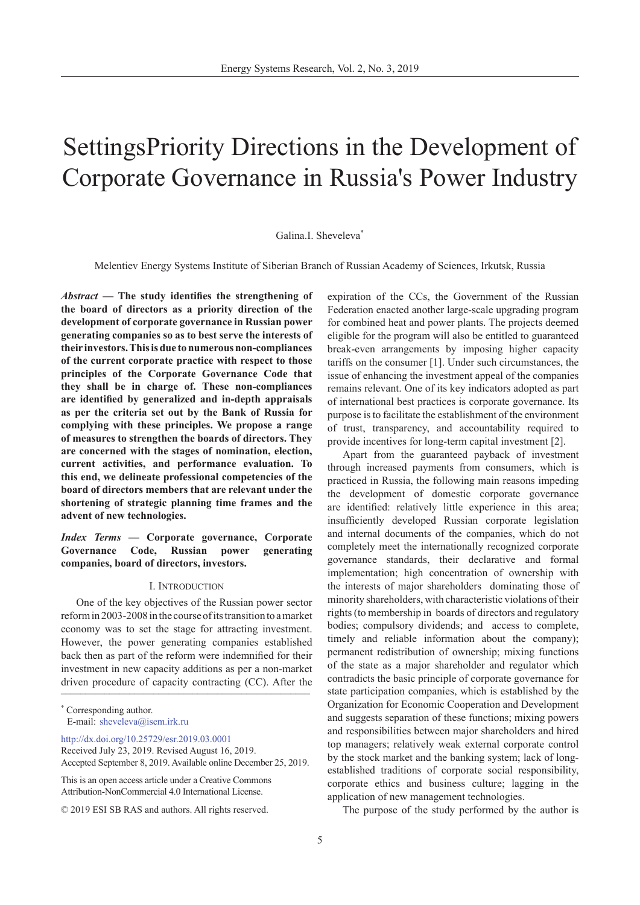# SettingsPriority Directions in the Development of Corporate Governance in Russia's Power Industry

## Galina.I. Sheveleva\*

Melentiev Energy Systems Institute of Siberian Branch of Russian Academy of Sciences, Irkutsk, Russia

*Abstract* **— The study identifies the strengthening of the board of directors as a priority direction of the development of corporate governance in Russian power generating companies so as to best serve the interests of their investors. This is due to numerous non-compliances of the current corporate practice with respect to those principles of the Corporate Governance Code that they shall be in charge of. These non-compliances are identified by generalized and in-depth appraisals as per the criteria set out by the Bank of Russia for complying with these principles. We propose a range of measures to strengthen the boards of directors. They are concerned with the stages of nomination, election, current activities, and performance evaluation. To this end, we delineate professional competencies of the board of directors members that are relevant under the shortening of strategic planning time frames and the advent of new technologies.**

# *Index Terms* **— Corporate governance, Corporate Governance Code, Russian power generating companies, board of directors, investors.**

### I. Introduction

driven procedure of capacity contracting (CC). After the One of the key objectives of the Russian power sector reform in 2003-2008 in the course of its transition to a market economy was to set the stage for attracting investment. However, the power generating companies established back then as part of the reform were indemnified for their investment in new capacity additions as per a non-market

http://dx.doi.org/10.25729/esr.2019.03.0001

This is an open access article under a Creative Commons Attribution-NonCommercial 4.0 International License.

expiration of the CCs, the Government of the Russian Federation enacted another large-scale upgrading program for combined heat and power plants. The projects deemed eligible for the program will also be entitled to guaranteed break-even arrangements by imposing higher capacity tariffs on the consumer [1]. Under such circumstances, the issue of enhancing the investment appeal of the companies remains relevant. One of its key indicators adopted as part of international best practices is corporate governance. Its purpose is to facilitate the establishment of the environment of trust, transparency, and accountability required to provide incentives for long-term capital investment [2].

Apart from the guaranteed payback of investment through increased payments from consumers, which is practiced in Russia, the following main reasons impeding the development of domestic corporate governance are identified: relatively little experience in this area; insufficiently developed Russian corporate legislation and internal documents of the companies, which do not completely meet the internationally recognized corporate governance standards, their declarative and formal implementation; high concentration of ownership with the interests of major shareholders dominating those of minority shareholders, with characteristic violations of their rights (to membership in boards of directors and regulatory bodies; compulsory dividends; and access to complete, timely and reliable information about the company); permanent redistribution of ownership; mixing functions of the state as a major shareholder and regulator which contradicts the basic principle of corporate governance for state participation companies, which is established by the Organization for Economic Cooperation and Development and suggests separation of these functions; mixing powers and responsibilities between major shareholders and hired top managers; relatively weak external corporate control by the stock market and the banking system; lack of longestablished traditions of corporate social responsibility, corporate ethics and business culture; lagging in the application of new management technologies.

The purpose of the study performed by the author is

<sup>\*</sup> Corresponding author. E-mail: sheveleva@isem.irk.ru

Received July 23, 2019. Revised August 16, 2019. Accepted September 8, 2019. Available online December 25, 2019.

<sup>© 2019</sup> ESI SB RAS and authors. All rights reserved.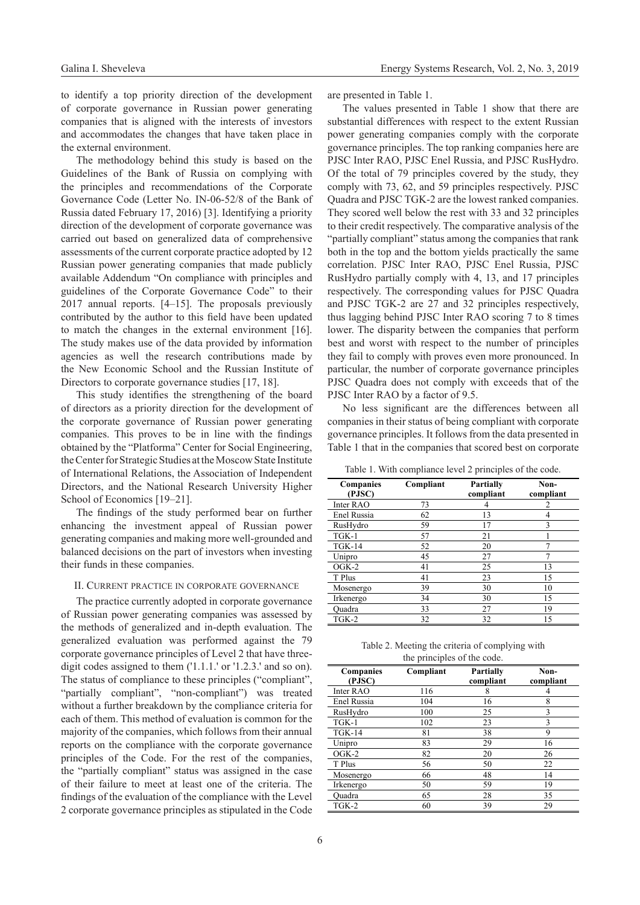to identify a top priority direction of the development of corporate governance in Russian power generating companies that is aligned with the interests of investors and accommodates the changes that have taken place in the external environment.

The methodology behind this study is based on the Guidelines of the Bank of Russia on complying with the principles and recommendations of the Corporate Governance Code (Letter No. IN-06-52/8 of the Bank of Russia dated February 17, 2016) [3]. Identifying a priority direction of the development of corporate governance was carried out based on generalized data of comprehensive assessments of the current corporate practice adopted by 12 Russian power generating companies that made publicly available Addendum "On compliance with principles and guidelines of the Corporate Governance Code" to their 2017 annual reports. [4–15]. The proposals previously contributed by the author to this field have been updated to match the changes in the external environment [16]. The study makes use of the data provided by information agencies as well the research contributions made by the New Economic School and the Russian Institute of Directors to corporate governance studies [17, 18].

This study identifies the strengthening of the board of directors as a priority direction for the development of the corporate governance of Russian power generating companies. This proves to be in line with the findings obtained by the "Platforma" Center for Social Engineering, the Center for Strategic Studies at the Moscow State Institute of International Relations, the Association of Independent Directors, and the National Research University Higher School of Economics [19–21].

The findings of the study performed bear on further enhancing the investment appeal of Russian power generating companies and making more well-grounded and balanced decisions on the part of investors when investing their funds in these companies.

#### II. Current practice in corporate governance

The practice currently adopted in corporate governance of Russian power generating companies was assessed by the methods of generalized and in-depth evaluation. The generalized evaluation was performed against the 79 corporate governance principles of Level 2 that have threedigit codes assigned to them ('1.1.1.' or '1.2.3.' and so on). The status of compliance to these principles ("compliant", "partially compliant", "non-compliant") was treated without a further breakdown by the compliance criteria for each of them. This method of evaluation is common for the majority of the companies, which follows from their annual reports on the compliance with the corporate governance principles of the Code. For the rest of the companies, the "partially compliant" status was assigned in the case of their failure to meet at least one of the criteria. The findings of the evaluation of the compliance with the Level 2 corporate governance principles as stipulated in the Code are presented in Table 1.

The values presented in Table 1 show that there are substantial differences with respect to the extent Russian power generating companies comply with the corporate governance principles. The top ranking companies here are PJSC Inter RAO, PJSC Enel Russia, and PJSC RusHydro. Of the total of 79 principles covered by the study, they comply with 73, 62, and 59 principles respectively. PJSC Quadra and PJSC TGK-2 are the lowest ranked companies. They scored well below the rest with 33 and 32 principles to their credit respectively. The comparative analysis of the "partially compliant" status among the companies that rank both in the top and the bottom yields practically the same correlation. PJSC Inter RAO, PJSC Enel Russia, PJSC RusHydro partially comply with 4, 13, and 17 principles respectively. The corresponding values for PJSC Quadra and PJSC TGK-2 are 27 and 32 principles respectively, thus lagging behind PJSC Inter RAO scoring 7 to 8 times lower. The disparity between the companies that perform best and worst with respect to the number of principles they fail to comply with proves even more pronounced. In particular, the number of corporate governance principles PJSC Quadra does not comply with exceeds that of the PJSC Inter RAO by a factor of 9.5.

No less significant are the differences between all companies in their status of being compliant with corporate governance principles. It follows from the data presented in Table 1 that in the companies that scored best on corporate

Table 1. With compliance level 2 principles of the code.

| Companies<br>(PJSC) | Compliant | <b>Partially</b><br>compliant | Non-<br>compliant |
|---------------------|-----------|-------------------------------|-------------------|
| Inter RAO           | 73        |                               | 2                 |
| Enel Russia         | 62        | 13                            | 4                 |
| RusHydro            | 59        | 17                            | 3                 |
| $T$ GK-1            | 57        | 21                            |                   |
| $TGK-14$            | 52        | 20                            |                   |
| Unipro              | 45        | 27                            |                   |
| $O$ GK-2            | 41        | 25                            | 13                |
| T Plus              | 41        | 23                            | 15                |
| Mosenergo           | 39        | 30                            | 10                |
| Irkenergo           | 34        | 30                            | 15                |
| Quadra              | 33        | 27                            | 19                |
| TGK-2               | 32        | 32                            | 15                |

Table 2. Meeting the criteria of complying with the principles of the code.

| Companies<br>(PJSC) | Compliant | <b>Partially</b><br>compliant | Non-<br>compliant |
|---------------------|-----------|-------------------------------|-------------------|
| Inter RAO           | 116       | 8                             |                   |
| Enel Russia         | 104       | 16                            | 8                 |
| RusHydro            | 100       | 25                            | 3                 |
| $TGK-1$             | 102       | 23                            | 3                 |
| $TGK-14$            | 81        | 38                            | 9                 |
| Unipro              | 83        | 29                            | 16                |
| $O$ GK-2            | 82        | 20                            | 26                |
| T Plus              | 56        | 50                            | 22                |
| Mosenergo           | 66        | 48                            | 14                |
| Irkenergo           | 50        | 59                            | 19                |
| Ouadra              | 65        | 28                            | 35                |
| TGK-2               | 60        | 39                            | 29                |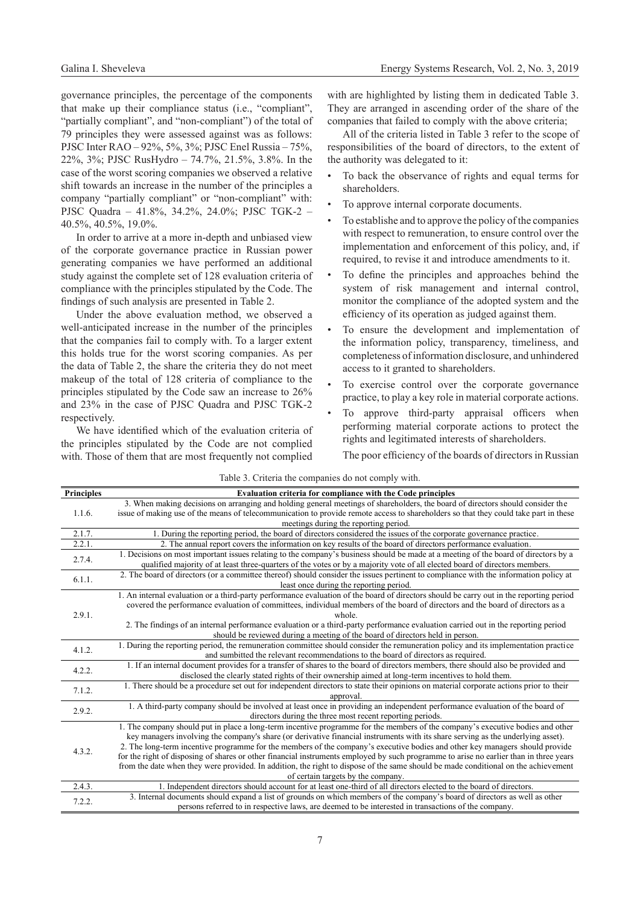governance principles, the percentage of the components that make up their compliance status (i.e., "compliant", "partially compliant", and "non-compliant") of the total of 79 principles they were assessed against was as follows: PJSC Inter RAO – 92%, 5%, 3%; PJSC Enel Russia – 75%, 22%, 3%; PJSC RusHydro – 74.7%, 21.5%, 3.8%. In the case of the worst scoring companies we observed a relative shift towards an increase in the number of the principles a company "partially compliant" or "non-compliant" with: PJSC Quadra – 41.8%, 34.2%, 24.0%; PJSC TGK-2 – 40.5%, 40.5%, 19.0%.

In order to arrive at a more in-depth and unbiased view of the corporate governance practice in Russian power generating companies we have performed an additional study against the complete set of 128 evaluation criteria of compliance with the principles stipulated by the Code. The findings of such analysis are presented in Table 2.

Under the above evaluation method, we observed a well-anticipated increase in the number of the principles that the companies fail to comply with. To a larger extent this holds true for the worst scoring companies. As per the data of Table 2, the share the criteria they do not meet makeup of the total of 128 criteria of compliance to the principles stipulated by the Code saw an increase to 26% and 23% in the case of PJSC Quadra and PJSC TGK-2 respectively.

We have identified which of the evaluation criteria of the principles stipulated by the Code are not complied with. Those of them that are most frequently not complied

with are highlighted by listing them in dedicated Table 3. They are arranged in ascending order of the share of the companies that failed to comply with the above criteria;

All of the criteria listed in Table 3 refer to the scope of responsibilities of the board of directors, to the extent of the authority was delegated to it:

- To back the observance of rights and equal terms for shareholders.
- To approve internal corporate documents.
- To establishe and to approve the policy of the companies with respect to remuneration, to ensure control over the implementation and enforcement of this policy, and, if required, to revise it and introduce amendments to it.
- To define the principles and approaches behind the system of risk management and internal control, monitor the compliance of the adopted system and the efficiency of its operation as judged against them.
- To ensure the development and implementation of the information policy, transparency, timeliness, and completeness of information disclosure, and unhindered access to it granted to shareholders.
- To exercise control over the corporate governance practice, to play a key role in material corporate actions.
- To approve third-party appraisal officers when performing material corporate actions to protect the rights and legitimated interests of shareholders.

The poor efficiency of the boards of directors in Russian

| <b>Principles</b> | Evaluation criteria for compliance with the Code principles                                                                                                                                                                                                        |  |  |
|-------------------|--------------------------------------------------------------------------------------------------------------------------------------------------------------------------------------------------------------------------------------------------------------------|--|--|
| 1.1.6.            | 3. When making decisions on arranging and holding general meetings of shareholders, the board of directors should consider the                                                                                                                                     |  |  |
|                   | issue of making use of the means of telecommunication to provide remote access to shareholders so that they could take part in these                                                                                                                               |  |  |
|                   | meetings during the reporting period.                                                                                                                                                                                                                              |  |  |
| 2.1.7.            | 1. During the reporting period, the board of directors considered the issues of the corporate governance practice.                                                                                                                                                 |  |  |
| 2.2.1.            | 2. The annual report covers the information on key results of the board of directors performance evaluation.                                                                                                                                                       |  |  |
| 2.7.4.            | 1. Decisions on most important issues relating to the company's business should be made at a meeting of the board of directors by a<br>qualified majority of at least three-quarters of the votes or by a majority vote of all elected board of directors members. |  |  |
| 6.1.1.            | 2. The board of directors (or a committee thereof) should consider the issues pertinent to compliance with the information policy at<br>least once during the reporting period.                                                                                    |  |  |
| 2.9.1.            | 1. An internal evaluation or a third-party performance evaluation of the board of directors should be carry out in the reporting period                                                                                                                            |  |  |
|                   | covered the performance evaluation of committees, individual members of the board of directors and the board of directors as a                                                                                                                                     |  |  |
|                   | whole.                                                                                                                                                                                                                                                             |  |  |
|                   | 2. The findings of an internal performance evaluation or a third-party performance evaluation carried out in the reporting period                                                                                                                                  |  |  |
|                   | should be reviewed during a meeting of the board of directors held in person.                                                                                                                                                                                      |  |  |
| 4.1.2.            | 1. During the reporting period, the remuneration committee should consider the remuneration policy and its implementation practice                                                                                                                                 |  |  |
|                   | and sumbitted the relevant recommendations to the board of directors as required.                                                                                                                                                                                  |  |  |
| 4.2.2.            | 1. If an internal document provides for a transfer of shares to the board of directors members, there should also be provided and                                                                                                                                  |  |  |
|                   | disclosed the clearly stated rights of their ownership aimed at long-term incentives to hold them.                                                                                                                                                                 |  |  |
| 7.1.2.            | 1. There should be a procedure set out for independent directors to state their opinions on material corporate actions prior to their<br>approval.                                                                                                                 |  |  |
| 2.9.2.            | 1. A third-party company should be involved at least once in providing an independent performance evaluation of the board of                                                                                                                                       |  |  |
|                   | directors during the three most recent reporting periods.                                                                                                                                                                                                          |  |  |
| 4.3.2.            | 1. The company should put in place a long-term incentive programme for the members of the company's executive bodies and other                                                                                                                                     |  |  |
|                   | key managers involving the company's share (or derivative financial instruments with its share serving as the underlying asset).                                                                                                                                   |  |  |
|                   | 2. The long-term incentive programme for the members of the company's executive bodies and other key managers should provide                                                                                                                                       |  |  |
|                   | for the right of disposing of shares or other financial instruments employed by such programme to arise no earlier than in three years                                                                                                                             |  |  |
|                   | from the date when they were provided. In addition, the right to dispose of the same should be made conditional on the achievement                                                                                                                                 |  |  |
|                   | of certain targets by the company.                                                                                                                                                                                                                                 |  |  |
| 2.4.3.<br>7.2.2.  | 1. Independent directors should account for at least one-third of all directors elected to the board of directors.                                                                                                                                                 |  |  |
|                   | 3. Internal documents should expand a list of grounds on which members of the company's board of directors as well as other                                                                                                                                        |  |  |
|                   | persons referred to in respective laws, are deemed to be interested in transactions of the company.                                                                                                                                                                |  |  |

Table 3. Criteria the companies do not comply with.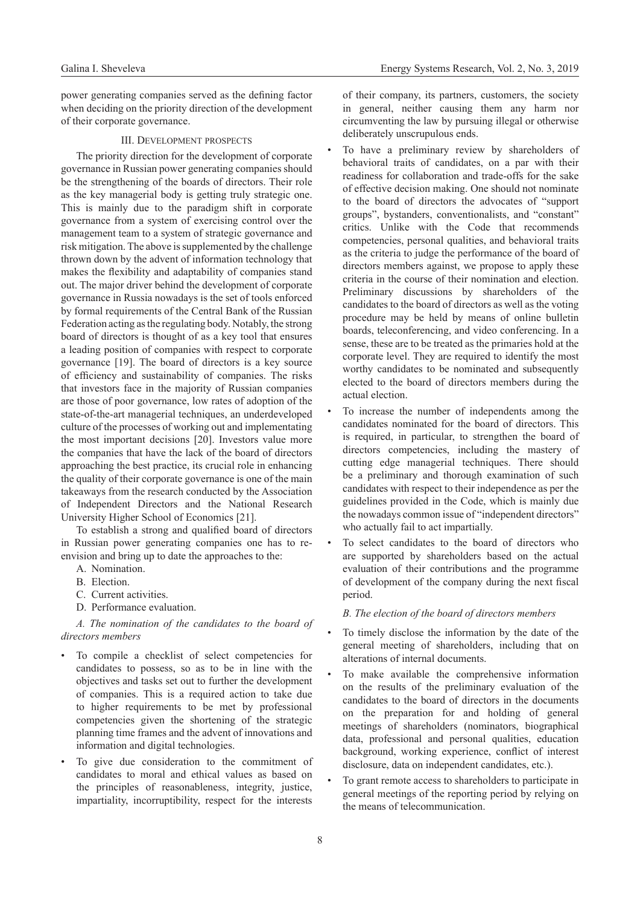power generating companies served as the defining factor when deciding on the priority direction of the development of their corporate governance.

## III. Development prospects

The priority direction for the development of corporate governance in Russian power generating companies should be the strengthening of the boards of directors. Their role as the key managerial body is getting truly strategic one. This is mainly due to the paradigm shift in corporate governance from a system of exercising control over the management team to a system of strategic governance and risk mitigation. The above is supplemented by the challenge thrown down by the advent of information technology that makes the flexibility and adaptability of companies stand out. The major driver behind the development of corporate governance in Russia nowadays is the set of tools enforced by formal requirements of the Central Bank of the Russian Federation acting as the regulating body. Notably, the strong board of directors is thought of as a key tool that ensures a leading position of companies with respect to corporate governance [19]. The board of directors is a key source of efficiency and sustainability of companies. The risks that investors face in the majority of Russian companies are those of poor governance, low rates of adoption of the state-of-the-art managerial techniques, an underdeveloped culture of the processes of working out and implementating the most important decisions [20]. Investors value more the companies that have the lack of the board of directors approaching the best practice, its crucial role in enhancing the quality of their corporate governance is one of the main takeaways from the research conducted by the Association of Independent Directors and the National Research University Higher School of Economics [21].

To establish a strong and qualified board of directors in Russian power generating companies one has to reenvision and bring up to date the approaches to the:

A. Nomination.

- B. Election.
- C. Current activities.
- D. Performance evaluation.

## *A. The nomination of the candidates to the board of directors members*

- To compile a checklist of select competencies for candidates to possess, so as to be in line with the objectives and tasks set out to further the development of companies. This is a required action to take due to higher requirements to be met by professional competencies given the shortening of the strategic planning time frames and the advent of innovations and information and digital technologies.
- To give due consideration to the commitment of candidates to moral and ethical values as based on the principles of reasonableness, integrity, justice, impartiality, incorruptibility, respect for the interests

of their company, its partners, customers, the society in general, neither causing them any harm nor circumventing the law by pursuing illegal or otherwise deliberately unscrupulous ends.

To have a preliminary review by shareholders of behavioral traits of candidates, on a par with their readiness for collaboration and trade-offs for the sake of effective decision making. One should not nominate to the board of directors the advocates of "support groups", bystanders, conventionalists, and "constant" critics. Unlike with the Code that recommends competencies, personal qualities, and behavioral traits as the criteria to judge the performance of the board of directors members against, we propose to apply these criteria in the course of their nomination and election. Preliminary discussions by shareholders of the candidates to the board of directors as well as the voting procedure may be held by means of online bulletin boards, teleconferencing, and video conferencing. In a sense, these are to be treated as the primaries hold at the corporate level. They are required to identify the most worthy candidates to be nominated and subsequently elected to the board of directors members during the actual election.

To increase the number of independents among the candidates nominated for the board of directors. This is required, in particular, to strengthen the board of directors competencies, including the mastery of cutting edge managerial techniques. There should be a preliminary and thorough examination of such candidates with respect to their independence as per the guidelines provided in the Code, which is mainly due the nowadays common issue of "independent directors" who actually fail to act impartially.

To select candidates to the board of directors who are supported by shareholders based on the actual evaluation of their contributions and the programme of development of the company during the next fiscal period.

#### *B. The election of the board of directors members*

- To timely disclose the information by the date of the general meeting of shareholders, including that on alterations of internal documents.
- To make available the comprehensive information on the results of the preliminary evaluation of the candidates to the board of directors in the documents on the preparation for and holding of general meetings of shareholders (nominators, biographical data, professional and personal qualities, education background, working experience, conflict of interest disclosure, data on independent candidates, etc.).
- To grant remote access to shareholders to participate in general meetings of the reporting period by relying on the means of telecommunication.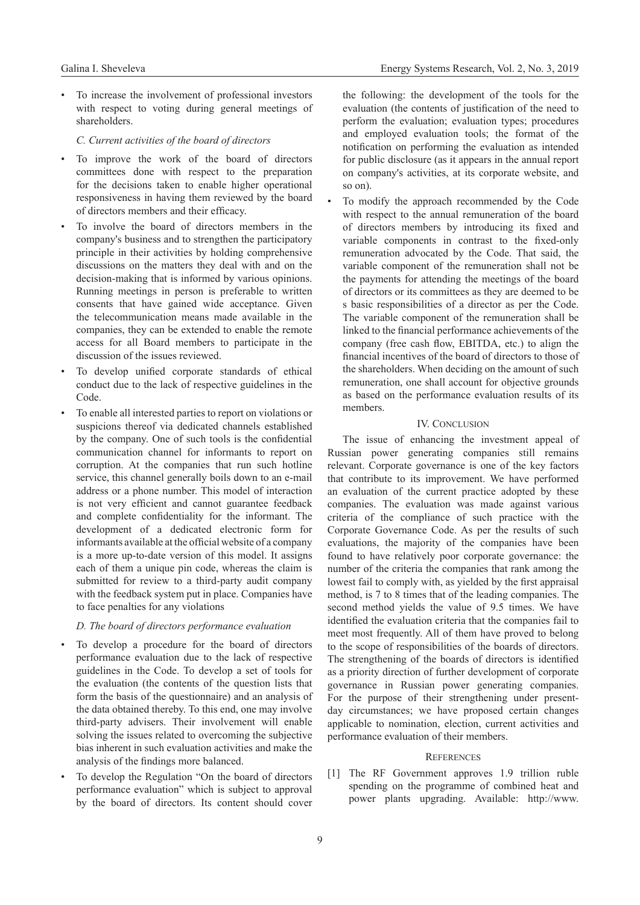To increase the involvement of professional investors with respect to voting during general meetings of shareholders.

# *C. Current activities of the board of directors*

- To improve the work of the board of directors committees done with respect to the preparation for the decisions taken to enable higher operational responsiveness in having them reviewed by the board of directors members and their efficacy.
- To involve the board of directors members in the company's business and to strengthen the participatory principle in their activities by holding comprehensive discussions on the matters they deal with and on the decision-making that is informed by various opinions. Running meetings in person is preferable to written consents that have gained wide acceptance. Given the telecommunication means made available in the companies, they can be extended to enable the remote access for all Board members to participate in the discussion of the issues reviewed.
- To develop unified corporate standards of ethical conduct due to the lack of respective guidelines in the Code.
- To enable all interested parties to report on violations or suspicions thereof via dedicated channels established by the company. One of such tools is the confidential communication channel for informants to report on corruption. At the companies that run such hotline service, this channel generally boils down to an e-mail address or a phone number. This model of interaction is not very efficient and cannot guarantee feedback and complete confidentiality for the informant. The development of a dedicated electronic form for informants available at the official website of a company is a more up-to-date version of this model. It assigns each of them a unique pin code, whereas the claim is submitted for review to a third-party audit company with the feedback system put in place. Companies have to face penalties for any violations

#### *D. The board of directors performance evaluation*

- To develop a procedure for the board of directors performance evaluation due to the lack of respective guidelines in the Code. To develop a set of tools for the evaluation (the contents of the question lists that form the basis of the questionnaire) and an analysis of the data obtained thereby. To this end, one may involve third-party advisers. Their involvement will enable solving the issues related to overcoming the subjective bias inherent in such evaluation activities and make the analysis of the findings more balanced.
- To develop the Regulation "On the board of directors performance evaluation" which is subject to approval by the board of directors. Its content should cover

the following: the development of the tools for the evaluation (the contents of justification of the need to perform the evaluation; evaluation types; procedures and employed evaluation tools; the format of the notification on performing the evaluation as intended for public disclosure (as it appears in the annual report on company's activities, at its corporate website, and so on).

• To modify the approach recommended by the Code with respect to the annual remuneration of the board of directors members by introducing its fixed and variable components in contrast to the fixed-only remuneration advocated by the Code. That said, the variable component of the remuneration shall not be the payments for attending the meetings of the board of directors or its committees as they are deemed to be s basic responsibilities of a director as per the Code. The variable component of the remuneration shall be linked to the financial performance achievements of the company (free cash flow, EBITDA, etc.) to align the financial incentives of the board of directors to those of the shareholders. When deciding on the amount of such remuneration, one shall account for objective grounds as based on the performance evaluation results of its members.

# IV. CONCLUSION

The issue of enhancing the investment appeal of Russian power generating companies still remains relevant. Corporate governance is one of the key factors that contribute to its improvement. We have performed an evaluation of the current practice adopted by these companies. The evaluation was made against various criteria of the compliance of such practice with the Corporate Governance Code. As per the results of such evaluations, the majority of the companies have been found to have relatively poor corporate governance: the number of the criteria the companies that rank among the lowest fail to comply with, as yielded by the first appraisal method, is 7 to 8 times that of the leading companies. The second method yields the value of 9.5 times. We have identified the evaluation criteria that the companies fail to meet most frequently. All of them have proved to belong to the scope of responsibilities of the boards of directors. The strengthening of the boards of directors is identified as a priority direction of further development of corporate governance in Russian power generating companies. For the purpose of their strengthening under presentday circumstances; we have proposed certain changes applicable to nomination, election, current activities and performance evaluation of their members.

## **REFERENCES**

[1] The RF Government approves 1.9 trillion ruble spending on the programme of combined heat and power plants upgrading. Available: http://www.